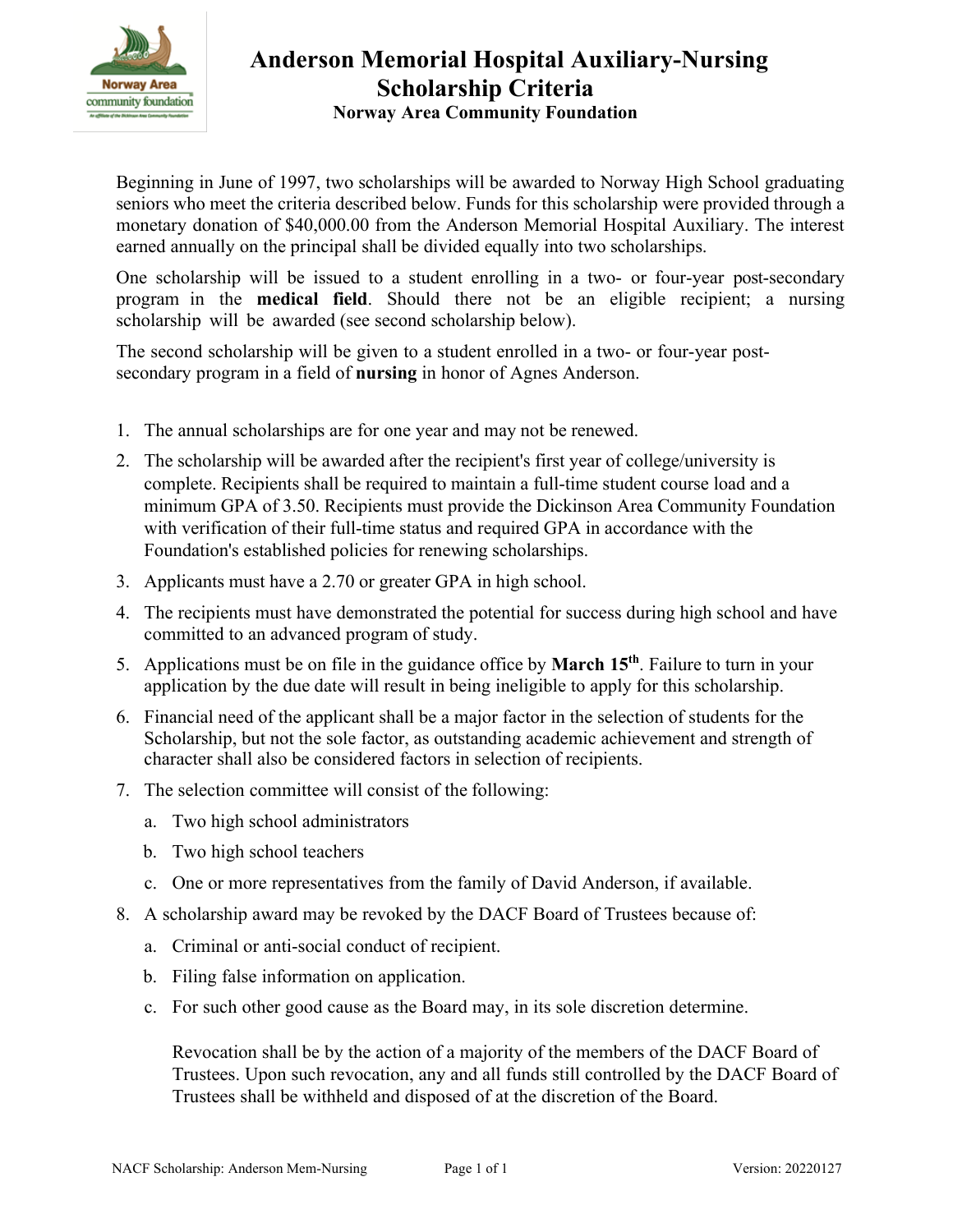

## **Anderson Memorial Hospital Auxiliary-Nursing Scholarship Criteria Norway Area Community Foundation**

Beginning in June of 1997, two scholarships will be awarded to Norway High School graduating seniors who meet the criteria described below. Funds for this scholarship were provided through a monetary donation of \$40,000.00 from the Anderson Memorial Hospital Auxiliary. The interest earned annually on the principal shall be divided equally into two scholarships.

One scholarship will be issued to a student enrolling in a two- or four-year post-secondary program in the **medical field**. Should there not be an eligible recipient; a nursing scholarship will be awarded (see second scholarship below).

The second scholarship will be given to a student enrolled in a two- or four-year postsecondary program in a field of **nursing** in honor of Agnes Anderson.

- 1. The annual scholarships are for one year and may not be renewed.
- 2. The scholarship will be awarded after the recipient's first year of college/university is complete. Recipients shall be required to maintain a full-time student course load and a minimum GPA of 3.50. Recipients must provide the Dickinson Area Community Foundation with verification of their full-time status and required GPA in accordance with the Foundation's established policies for renewing scholarships.
- 3. Applicants must have a 2.70 or greater GPA in high school.
- 4. The recipients must have demonstrated the potential for success during high school and have committed to an advanced program of study.
- 5. Applications must be on file in the guidance office by **March 15 th**. Failure to turn in your application by the due date will result in being ineligible to apply for this scholarship.
- 6. Financial need of the applicant shall be a major factor in the selection of students for the Scholarship, but not the sole factor, as outstanding academic achievement and strength of character shall also be considered factors in selection of recipients.
- 7. The selection committee will consist of the following:
	- a. Two high school administrators
	- b. Two high school teachers
	- c. One or more representatives from the family of David Anderson, if available.
- 8. A scholarship award may be revoked by the DACF Board of Trustees because of:
	- a. Criminal or anti-social conduct of recipient.
	- b. Filing false information on application.
	- c. For such other good cause as the Board may, in its sole discretion determine.

Revocation shall be by the action of a majority of the members of the DACF Board of Trustees. Upon such revocation, any and all funds still controlled by the DACF Board of Trustees shall be withheld and disposed of at the discretion of the Board.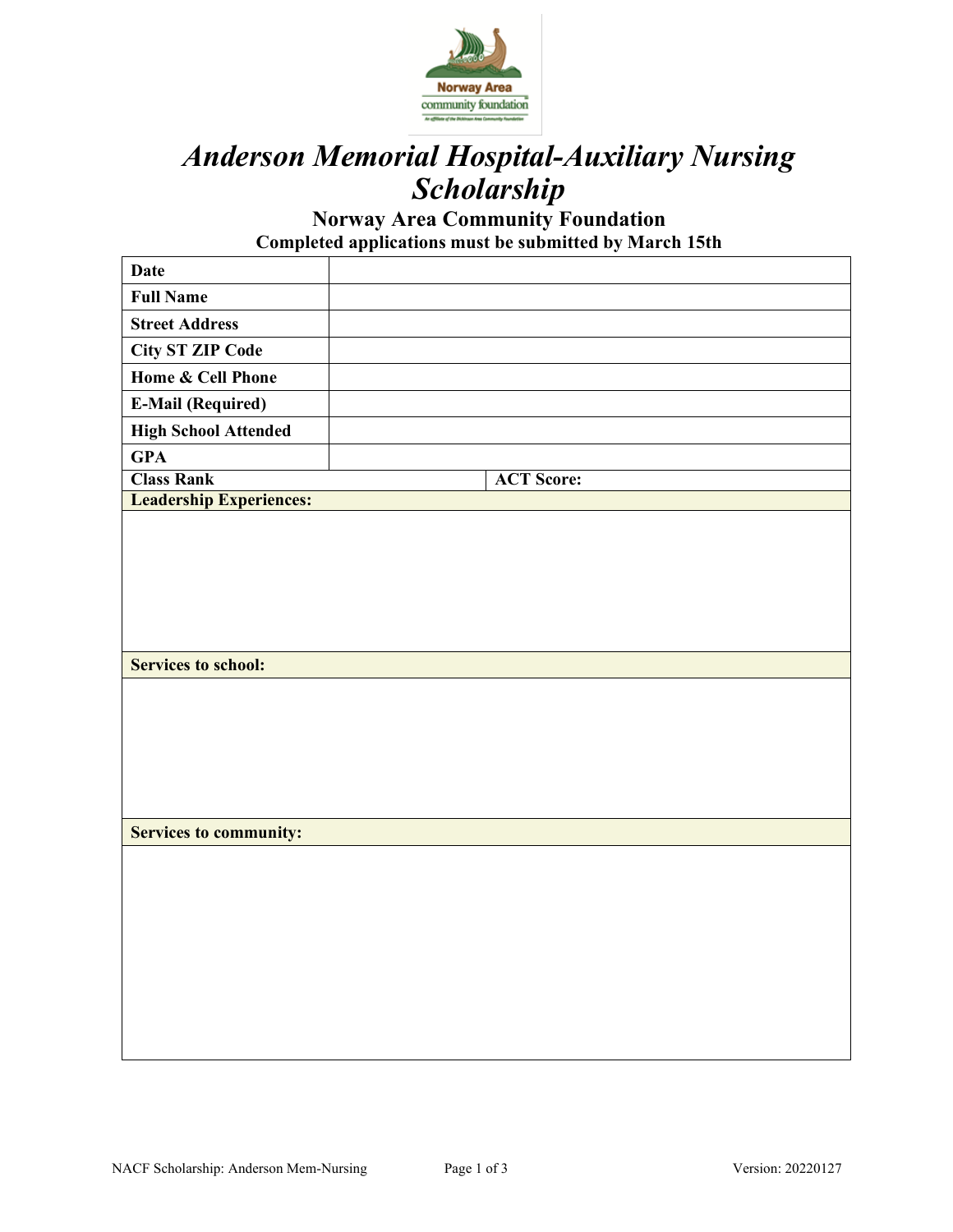

# *Anderson Memorial Hospital-Auxiliary Nursing Scholarship*

**Norway Area Community Foundation Completed applications must be submitted by March 15th** 

| <b>Date</b>                    |                   |
|--------------------------------|-------------------|
| <b>Full Name</b>               |                   |
| <b>Street Address</b>          |                   |
| <b>City ST ZIP Code</b>        |                   |
| <b>Home &amp; Cell Phone</b>   |                   |
| <b>E-Mail (Required)</b>       |                   |
| <b>High School Attended</b>    |                   |
| <b>GPA</b>                     |                   |
| <b>Class Rank</b>              | <b>ACT Score:</b> |
| <b>Leadership Experiences:</b> |                   |
|                                |                   |
|                                |                   |
| <b>Services to school:</b>     |                   |
|                                |                   |
| <b>Services to community:</b>  |                   |
|                                |                   |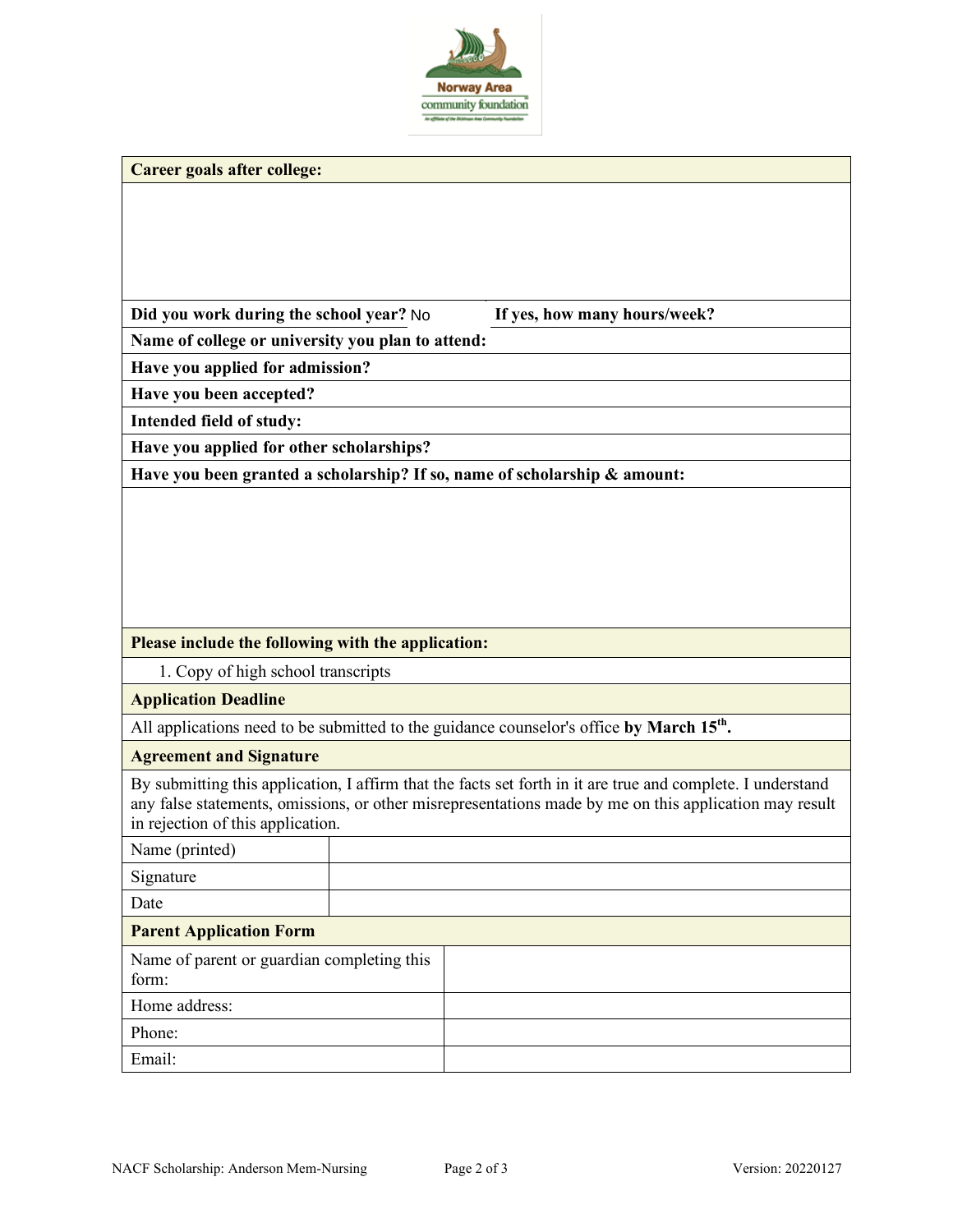

|  | Career goals after college: |  |
|--|-----------------------------|--|
|  |                             |  |

|  | Did you work during the school year? No |  |
|--|-----------------------------------------|--|
|  |                                         |  |

If yes, how many hours/week?

**Name of college or university you plan to attend:**

**Have you applied for admission?**

**Have you been accepted?**

**Intended field of study:**

**Have you applied for other scholarships?**

**Have you been granted a scholarship? If so, name of scholarship & amount:**

#### **Please include the following with the application:**

1. Copy of high school transcripts

#### **Application Deadline**

All applications need to be submitted to the guidance counselor's office **by March 15th.**

#### **Agreement and Signature**

By submitting this application, I affirm that the facts set forth in it are true and complete. I understand any false statements, omissions, or other misrepresentations made by me on this application may result in rejection of this application.

| Name (printed)                                      |  |  |
|-----------------------------------------------------|--|--|
| Signature                                           |  |  |
| Date                                                |  |  |
| <b>Parent Application Form</b>                      |  |  |
| Name of parent or guardian completing this<br>form: |  |  |
| Home address:                                       |  |  |
| Phone:                                              |  |  |
| Email:                                              |  |  |